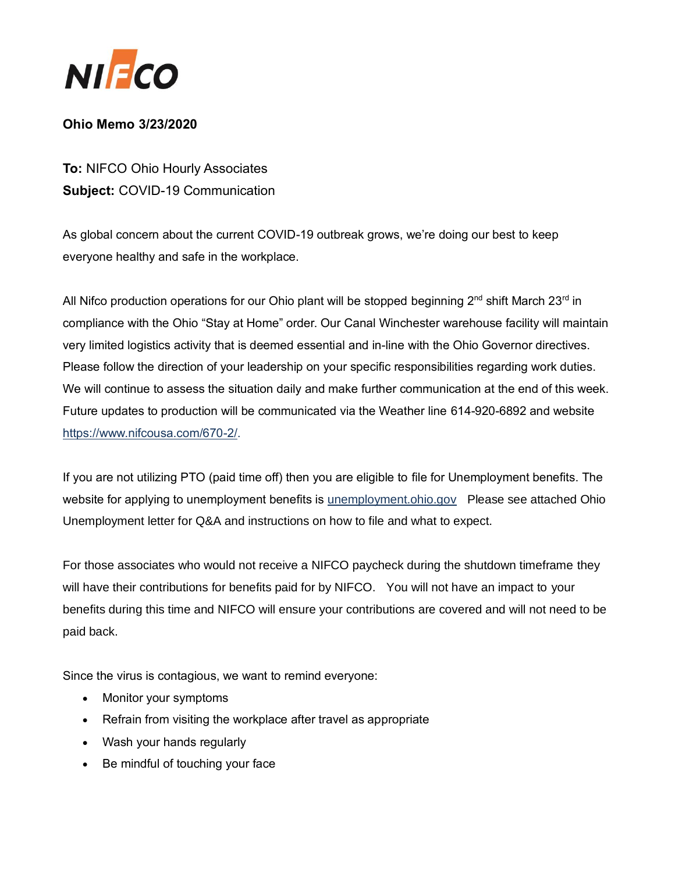

## **Ohio Memo 3/23/2020**

**To:** NIFCO Ohio Hourly Associates **Subject:** COVID-19 Communication

As global concern about the current COVID-19 outbreak grows, we're doing our best to keep everyone healthy and safe in the workplace.

All Nifco production operations for our Ohio plant will be stopped beginning 2<sup>nd</sup> shift March 23<sup>rd</sup> in compliance with the Ohio "Stay at Home" order. Our Canal Winchester warehouse facility will maintain very limited logistics activity that is deemed essential and in-line with the Ohio Governor directives. Please follow the direction of your leadership on your specific responsibilities regarding work duties. We will continue to assess the situation daily and make further communication at the end of this week. Future updates to production will be communicated via the Weather line 614-920-6892 and website [https://www.nifcousa.com/670-2/.](https://www.nifcousa.com/670-2/)

If you are not utilizing PTO (paid time off) then you are eligible to file for Unemployment benefits. The website for applying to unemployment benefits is [unemployment.ohio.gov](https://unemployment.ohio.gov/PublicSelfServiceChoice.html) Please see attached Ohio Unemployment letter for Q&A and instructions on how to file and what to expect.

For those associates who would not receive a NIFCO paycheck during the shutdown timeframe they will have their contributions for benefits paid for by NIFCO. You will not have an impact to your benefits during this time and NIFCO will ensure your contributions are covered and will not need to be paid back.

Since the virus is contagious, we want to remind everyone:

- Monitor your symptoms
- Refrain from visiting the workplace after travel as appropriate
- Wash your hands regularly
- Be mindful of touching your face